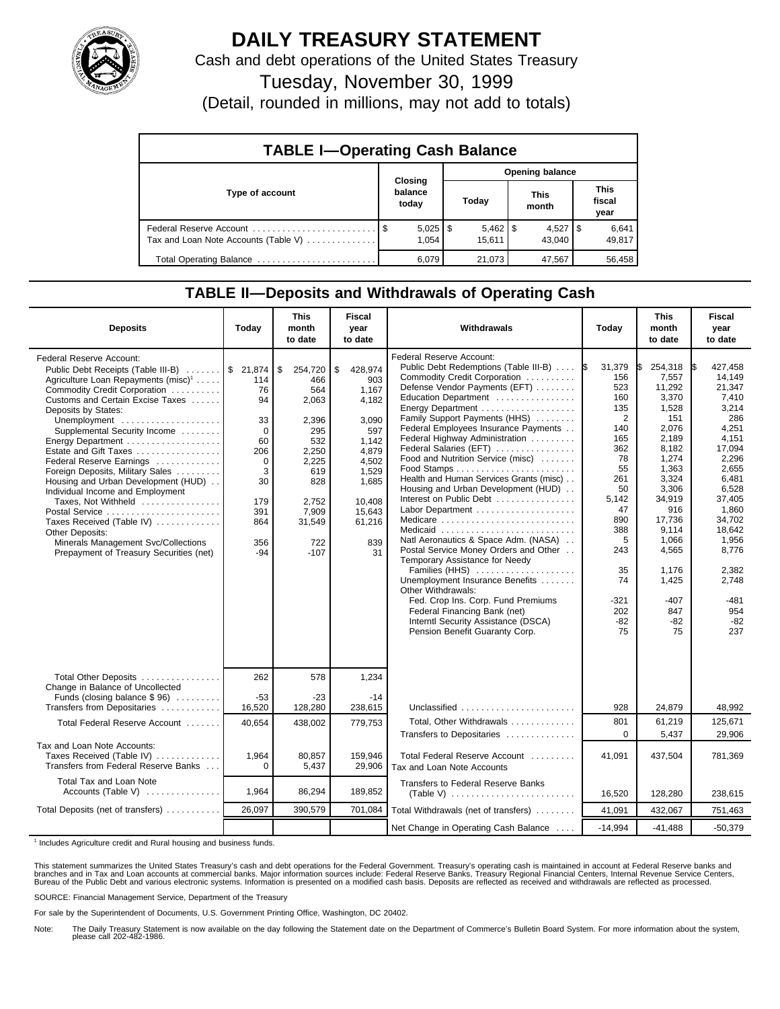

# **DAILY TREASURY STATEMENT**

Cash and debt operations of the United States Treasury

Tuesday, November 30, 1999

(Detail, rounded in millions, may not add to totals)

| <b>TABLE I-Operating Cash Balance</b> |                             |                        |  |                        |  |                      |  |                               |  |
|---------------------------------------|-----------------------------|------------------------|--|------------------------|--|----------------------|--|-------------------------------|--|
|                                       |                             | <b>Opening balance</b> |  |                        |  |                      |  |                               |  |
| Type of account                       | Closing<br>balance<br>today |                        |  | Today                  |  | <b>This</b><br>month |  | <b>This</b><br>fiscal<br>year |  |
| Tax and Loan Note Accounts (Table V)  |                             | $5,025$   \$<br>1.054  |  | $5,462$   \$<br>15.611 |  | $4,527$ S<br>43.040  |  | 6,641<br>49,817               |  |
| Total Operating Balance               |                             | 6,079                  |  | 21,073                 |  | 47,567               |  | 56,458                        |  |

## **TABLE II—Deposits and Withdrawals of Operating Cash**

| <b>Deposits</b>                                                                                                                                                                                                                                                                                                                                                                                                                                                                                                                                                                                                                         | Today                                                                                                                  | <b>This</b><br>month<br>to date                                                                                                          | <b>Fiscal</b><br>year<br>to date                                                                                                               | Withdrawals                                                                                                                                                                                                                                                                                                                                                                                                                                                                                                                                                                                                                                                                                                                                                                                                                                | Today                                                                                                                                                                           | <b>This</b><br>month<br>to date                                                                                                                                                                                            | <b>Fiscal</b><br>year<br>to date                                                                                                                                                                                                 |
|-----------------------------------------------------------------------------------------------------------------------------------------------------------------------------------------------------------------------------------------------------------------------------------------------------------------------------------------------------------------------------------------------------------------------------------------------------------------------------------------------------------------------------------------------------------------------------------------------------------------------------------------|------------------------------------------------------------------------------------------------------------------------|------------------------------------------------------------------------------------------------------------------------------------------|------------------------------------------------------------------------------------------------------------------------------------------------|--------------------------------------------------------------------------------------------------------------------------------------------------------------------------------------------------------------------------------------------------------------------------------------------------------------------------------------------------------------------------------------------------------------------------------------------------------------------------------------------------------------------------------------------------------------------------------------------------------------------------------------------------------------------------------------------------------------------------------------------------------------------------------------------------------------------------------------------|---------------------------------------------------------------------------------------------------------------------------------------------------------------------------------|----------------------------------------------------------------------------------------------------------------------------------------------------------------------------------------------------------------------------|----------------------------------------------------------------------------------------------------------------------------------------------------------------------------------------------------------------------------------|
| <b>Federal Reserve Account:</b><br>Public Debt Receipts (Table III-B)<br>Agriculture Loan Repayments (misc) <sup>1</sup><br>Commodity Credit Corporation<br>Customs and Certain Excise Taxes<br>Deposits by States:<br>Unemployment<br>Supplemental Security Income<br>Energy Department<br>Estate and Gift Taxes<br>Federal Reserve Earnings<br>Foreign Deposits, Military Sales<br>Housing and Urban Development (HUD)<br>Individual Income and Employment<br>Taxes, Not Withheld<br>Postal Service<br>Taxes Received (Table IV)<br>Other Deposits:<br>Minerals Management Svc/Collections<br>Prepayment of Treasury Securities (net) | \$21,874<br>114<br>76<br>94<br>33<br>$\Omega$<br>60<br>206<br>$\Omega$<br>3<br>30<br>179<br>391<br>864<br>356<br>$-94$ | \$<br>254,720<br>466<br>564<br>2,063<br>2,396<br>295<br>532<br>2,250<br>2,225<br>619<br>828<br>2.752<br>7,909<br>31,549<br>722<br>$-107$ | \$<br>428,974<br>903<br>1.167<br>4,182<br>3.090<br>597<br>1.142<br>4,879<br>4,502<br>1,529<br>1.685<br>10.408<br>15,643<br>61,216<br>839<br>31 | Federal Reserve Account:<br>Public Debt Redemptions (Table III-B)<br>Commodity Credit Corporation<br>Defense Vendor Payments (EFT)<br>Education Department<br>Family Support Payments (HHS)<br>Federal Employees Insurance Payments<br>Federal Highway Administration<br>Federal Salaries (EFT)<br>Food and Nutrition Service (misc)<br>Health and Human Services Grants (misc)<br>Housing and Urban Development (HUD)<br>Interest on Public Debt<br>Labor Department<br>Medicare<br>Medicaid<br>Natl Aeronautics & Space Adm. (NASA)<br>Postal Service Money Orders and Other<br>Temporary Assistance for Needy<br>Families (HHS)<br>Unemployment Insurance Benefits<br>Other Withdrawals:<br>Fed. Crop Ins. Corp. Fund Premiums<br>Federal Financing Bank (net)<br>Interntl Security Assistance (DSCA)<br>Pension Benefit Guaranty Corp. | 31,379<br>1\$<br>156<br>523<br>160<br>135<br>2<br>140<br>165<br>362<br>78<br>55<br>261<br>50<br>5,142<br>47<br>890<br>388<br>5<br>243<br>35<br>74<br>-321<br>202<br>$-82$<br>75 | 254,318<br>7.557<br>11,292<br>3,370<br>1,528<br>151<br>2,076<br>2.189<br>8,182<br>1.274<br>1,363<br>3,324<br>3,306<br>34,919<br>916<br>17,736<br>9.114<br>1.066<br>4,565<br>1,176<br>1,425<br>$-407$<br>847<br>$-82$<br>75 | 427.458<br>14.149<br>21,347<br>7,410<br>3,214<br>286<br>4,251<br>4,151<br>17,094<br>2.296<br>2,655<br>6,481<br>6,528<br>37.405<br>1,860<br>34,702<br>18.642<br>1,956<br>8,776<br>2,382<br>2,748<br>$-481$<br>954<br>$-82$<br>237 |
| Total Other Deposits                                                                                                                                                                                                                                                                                                                                                                                                                                                                                                                                                                                                                    | 262                                                                                                                    | 578                                                                                                                                      | 1,234                                                                                                                                          |                                                                                                                                                                                                                                                                                                                                                                                                                                                                                                                                                                                                                                                                                                                                                                                                                                            |                                                                                                                                                                                 |                                                                                                                                                                                                                            |                                                                                                                                                                                                                                  |
| Change in Balance of Uncollected<br>Funds (closing balance \$96)<br>Transfers from Depositaries                                                                                                                                                                                                                                                                                                                                                                                                                                                                                                                                         | $-53$<br>16,520                                                                                                        | $-23$<br>128,280                                                                                                                         | $-14$<br>238,615                                                                                                                               | Unclassified                                                                                                                                                                                                                                                                                                                                                                                                                                                                                                                                                                                                                                                                                                                                                                                                                               | 928                                                                                                                                                                             | 24,879                                                                                                                                                                                                                     | 48,992                                                                                                                                                                                                                           |
| Total Federal Reserve Account                                                                                                                                                                                                                                                                                                                                                                                                                                                                                                                                                                                                           | 40,654                                                                                                                 | 438,002                                                                                                                                  | 779,753                                                                                                                                        | Total, Other Withdrawals<br>Transfers to Depositaries                                                                                                                                                                                                                                                                                                                                                                                                                                                                                                                                                                                                                                                                                                                                                                                      | 801<br>$\Omega$                                                                                                                                                                 | 61,219<br>5,437                                                                                                                                                                                                            | 125,671<br>29,906                                                                                                                                                                                                                |
| Tax and Loan Note Accounts:<br>Taxes Received (Table IV)<br>Transfers from Federal Reserve Banks                                                                                                                                                                                                                                                                                                                                                                                                                                                                                                                                        | 1,964<br>$\Omega$                                                                                                      | 80,857<br>5,437                                                                                                                          | 159.946<br>29,906                                                                                                                              | Total Federal Reserve Account<br>Tax and Loan Note Accounts                                                                                                                                                                                                                                                                                                                                                                                                                                                                                                                                                                                                                                                                                                                                                                                | 41,091                                                                                                                                                                          | 437,504                                                                                                                                                                                                                    | 781,369                                                                                                                                                                                                                          |
| Total Tax and Loan Note<br>Accounts (Table V) $\ldots$                                                                                                                                                                                                                                                                                                                                                                                                                                                                                                                                                                                  | 1,964                                                                                                                  | 86,294                                                                                                                                   | 189,852                                                                                                                                        | Transfers to Federal Reserve Banks<br>$(Table V)$                                                                                                                                                                                                                                                                                                                                                                                                                                                                                                                                                                                                                                                                                                                                                                                          | 16,520                                                                                                                                                                          | 128,280                                                                                                                                                                                                                    | 238,615                                                                                                                                                                                                                          |
| Total Deposits (net of transfers)                                                                                                                                                                                                                                                                                                                                                                                                                                                                                                                                                                                                       | 26,097                                                                                                                 | 390.579                                                                                                                                  | 701,084                                                                                                                                        | Total Withdrawals (net of transfers)                                                                                                                                                                                                                                                                                                                                                                                                                                                                                                                                                                                                                                                                                                                                                                                                       | 41,091                                                                                                                                                                          | 432,067                                                                                                                                                                                                                    | 751,463                                                                                                                                                                                                                          |
|                                                                                                                                                                                                                                                                                                                                                                                                                                                                                                                                                                                                                                         |                                                                                                                        |                                                                                                                                          |                                                                                                                                                | Net Change in Operating Cash Balance                                                                                                                                                                                                                                                                                                                                                                                                                                                                                                                                                                                                                                                                                                                                                                                                       | $-14.994$                                                                                                                                                                       | $-41.488$                                                                                                                                                                                                                  | $-50,379$                                                                                                                                                                                                                        |

<sup>1</sup> Includes Agriculture credit and Rural housing and business funds.

This statement summarizes the United States Treasury's cash and debt operations for the Federal Government. Treasury's operating cash is maintained in account at Federal Reserve banks and<br>branches and in Tax and Loan accou

SOURCE: Financial Management Service, Department of the Treasury

For sale by the Superintendent of Documents, U.S. Government Printing Office, Washington, DC 20402.

Note: The Daily Treasury Statement is now available on the day following the Statement date on the Department of Commerce's Bulletin Board System. For more information about the system, please call 202-482-1986.